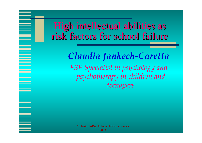## High intellectual abilities as risk factors for school failure

*Claudia Jankech-Caretta FSP Specialist in psychology and psychotherapy in children and teenagers*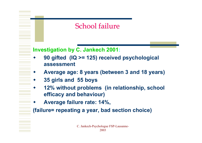#### School failure

#### **Investigation by C. Jankech 2001:**

- ♦ **90 gifted (IQ >= 125) received psychological assessment**
- ♦ **Average age: 8 years (between 3 and 18 years)**
- ♦ **35 girls and 55 boys**
- ♦ **12% without problems (in relationship, school efficacy and behaviour)**
- ♦ **Average failure rate: 14%,**

**(failure= repeating a year, bad section choice)**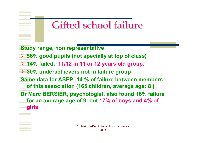# Gifted school failure

- **Study range, non representative:**
- ¾ **56% good pupils (not specially at top of class)**
- ¾ **14% failed, 11/12 in 11 or 12 years old group.**
- ¾ **30% underachievers not in failure group**
- **Same data for ASEP: 14 % of failure between members of this association (165 children, average age: 8 )**
- **Dr Marc BERSIER, psychologist, also found 16% failure for an average age of 9, but 17% of boys and 4% of girls.**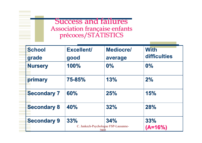#### **Success and failures** Association française enfants précoces/STATISTICS

| <b>School</b><br>grade | <b>Excellent/</b><br>good | <b>Mediocre/</b><br>average                         | <b>With</b><br>difficulties |
|------------------------|---------------------------|-----------------------------------------------------|-----------------------------|
| <b>Nursery</b>         | 100%                      | 0%                                                  | 0%                          |
| primary                | 75-85%                    | 13%                                                 | 2%                          |
| <b>Secondary 7</b>     | 60%                       | 25%                                                 | 15%                         |
| <b>Secondary 8</b>     | 40%                       | 32%                                                 | 28%                         |
| <b>Secondary 9</b>     | 33%                       | 34%<br>C. Jankech-Psychologue FSP-Lausanne-<br>2003 | 33%<br>$(A=16%)$            |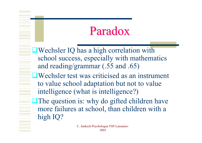# Paradox

Wechsler IQ has a high correlation with school success, especially with mathematics and reading/grammar (.55 and .65)

Wechsler test was criticised as an instrument to value school adaptation but not to value intelligence (what is intelligence?)

The question is: why do gifted children have more failures at school, than children with a high IQ?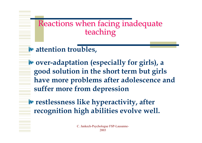# Reactions when facing inadequate<br>teaching

#### *<u><b>W* attention troubles,</u>

**over-adaptation (especially for girls), a good solution in the short term but girls have more problems after adolescence and suffer more from depression**

*<b>F* restlessness like hyperactivity, after **recognition high abilities evolve well.**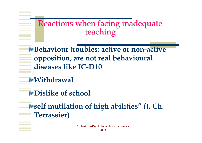# Reactions when facing inadequate<br>teaching

**Example 12 Behaviour troubles: active or non-active opposition, are not real behavioural diseases like IC-D10**

#### **Withdrawal**

**Dislike of school**

**self mutilation of high abilities" (J. Ch. Terrassier)**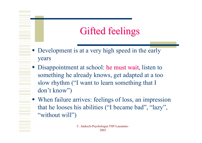# Gifted feelings

- Development is at a very high speed in the early years
- ♦ Disappointment at school: he must wait, listen to something he already knows, get adapted at a too slow rhythm ("I want to learn something that I don't know")
- When failure arrives: feelings of loss, an impression that he looses his abilities ("I became bad", "lazy", "without will")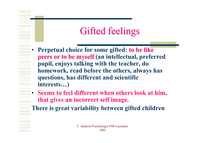# Gifted feelings

- •**Perpetual choice for some gifted: to be like peers or to be myself** (an intellectual, preferred **pupil, enjoys talking with the teacher, do homework, read before the others, always has questions, has different and scientific interests…)**
- • **Seems to feel different when others look at him, that gives an incorrect self image.**
- **There is great variability between gifted children**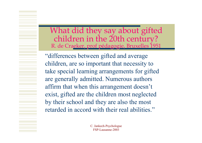What did they say about gifted<br>children in the 20th century?<br>R. de Craeker, prof pédagogie, Bruxelles 1951

"differences between gifted and average children, are so important that necessity to take special learning arrangements for gifted are generally admitted. Numerous authors affirm that when this arrangement doesn't exist, gifted are the children most neglected by their school and they are also the most retarded in accord with their real abilities."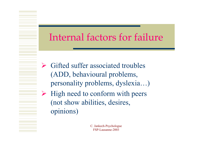## Internal factors for failure

- $\triangleright$  Gifted suffer associated troubles (ADD, behavioural problems, personality problems, dyslexia…)
- $\triangleright$  High need to conform with peers (not show abilities, desires, opinions)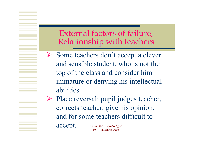External factors of failure, Relationship with teachers

¾ Some teachers don't accept a clever and sensible student, who is not the top of the class and consider him immature or denying his intellectual abilities

C. Jankech-Psychologue FSP-Lausanne-2003¾ Place reversal: pupil judges teacher, corrects teacher, give his opinion, and for some teachers difficult to accept.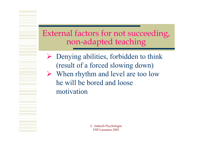#### External factors for not succeeding, External factors for not succeeding, non-adapted teaching

 $\triangleright$  Denying abilities, forbidden to think (result of a forced slowing down) ¾ When rhythm and level are too low he will be bored and loose motivation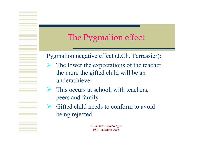## The Pygmalion effect

#### Pygmalion negative effect (J.Ch. Terrassier):

- $\blacktriangleright$  The lower the expectations of the teacher, the more the gifted child will be an underachiever
- ¾ This occurs at school, with teachers, peers and family
- ¾ Gifted child needs to conform to avoid being rejected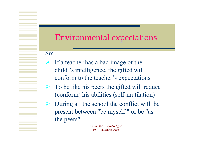#### Environmental expectations Environmental expectations

So:

- $\blacktriangleright$  If a teacher has a bad image of the child 's intelligence, the gifted will conform to the teacher's expectations
- $\triangleright$  To be like his peers the gifted will reduce (conform) his abilities (self-mutilation)
- ¾ During all the school the conflict will be present between "be myself " or be "as the peers"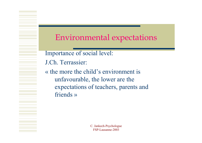#### Environmental expectations Environmental expectations

Importance of social level:

J.Ch. Terrassier:

« the more the child's environment is unfavourable, the lower are the expectations of teachers, parents and friends »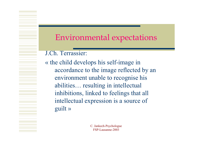#### Environmental expectations Environmental expectations

J.Ch. Terrassier:

« the child develops his self-image in accordance to the image reflected by an environment unable to recognise his abilities… resulting in intellectual inhibitions, linked to feelings that all intellectual expression is a source of guilt »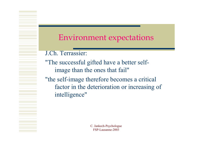#### Environment expectations Environment expectations

J.Ch. Terrassier:

"The successful gifted have a better selfimage than the ones that fail"

"the self-image therefore becomes a critical factor in the deterioration or increasing of intelligence"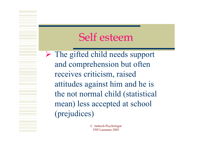## Self esteem

¾ The gifted child needs support and comprehension but often receives criticism, raised attitudes against him and he is the not normal child (statistical mean) less accepted at school (prejudices)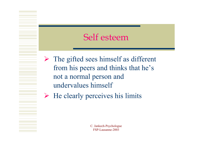#### Self esteem

 $\triangleright$  The gifted sees himself as different from his peers and thinks that he's not a normal person and undervalues himself

 $\triangleright$  He clearly perceives his limits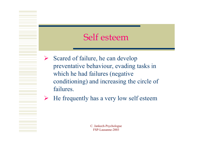#### Self esteem

- ¾ Scared of failure, he can develop preventative behaviour, evading tasks in which he had failures (negative conditioning) and increasing the circle of failures.
- ¾He frequently has a very low self esteem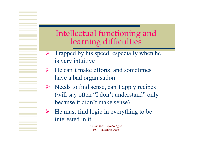# Intellectual functioning and<br>learning difficulties

- ¾ Trapped by his speed, especially when he is very intuitive
- $\blacktriangleright$  He can't make efforts, and sometimes have a bad organisation
- $\triangleright$  Needs to find sense, can't apply recipes (will say often "I don't understand" only because it didn't make sense)
- $\triangleright$  He must find logic in everything to be interested in it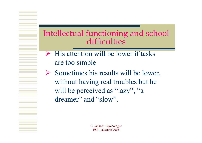#### Intellectual functioning and school difficulties

- $\triangleright$  His attention will be lower if tasks are too simple
- $\triangleright$  Sometimes his results will be lower, without having real troubles but he will be perceived as "lazy", "a dreamer" and "slow".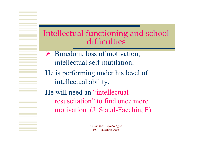#### Intellectual functioning and school difficulties

- ¾ Boredom, loss of motivation, intellectual self-mutilation:
- He is performing under his level of intellectual ability,

He will need an "intellectual resuscitation" to find once more motivation (J. Siaud-Facchin, F)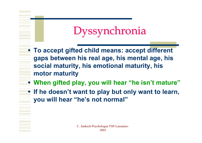# Dyssynchronia Dyssynchronia

- **To accept gifted child means: accept different gaps between his real age, his mental age, his social maturity, his emotional maturity, his motor maturity**
- **When gifted play, you will hear "he isn't mature"**
- **If he doesn't want to play but only want to learn, you will hear "he's not normal"**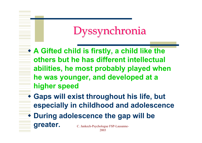# Dyssynchronia Dyssynchronia

- **A Gifted child is firstly, a child like the others but he has different intellectual abilities, he most probably played when he was younger, and developed at a higher speed**
- **Gaps will exist throughout his life, but especially in childhood and adolescence**

2003

C. Jankech-Psychologue FSP-Lausanne- **During adolescence the gap will be greater.**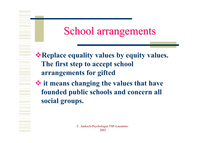# School arrangements

**Example 2 Replace equality values by equity values. The first step to accept school arrangements for gifted**

 **it means changing the values that have founded public schools and concern all social groups.**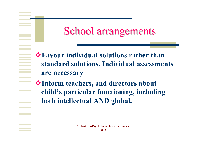# School arrangements

- **Favour individual solutions rather than standard solutions. Individual assessments are necessary**
- **Inform teachers, and directors about child's particular functioning, including both intellectual AND global.**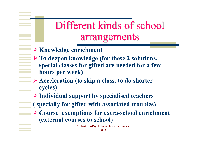# Different kinds of school Different kinds of school arrangements arrangements

- ¾ **Knowledge enrichment**
- ¾ **To deepen knowledge (for these 2 solutions, special classes for gifted are needed for a few hours per week)**
- ¾ **Acceleration (to skip a class, to do shorter cycles)**
- ¾ **Individual support by specialised teachers**
- **( specially for gifted with associated troubles)**
- ¾ **Course exemptions for extra-school enrichment (external courses to school)**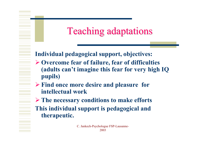# Teaching adaptations Teaching adaptations

#### **Individual pedagogical support, objectives:**

- ¾ **Overcome fear of failure, fear of difficulties (adults can't imagine this fear for very high IQ pupils)**
- ¾ **Find once more desire and pleasure for intellectual work**
- ¾ **The necessary conditions to make efforts This individual support is pedagogical and therapeutic.**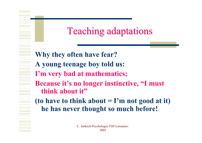# Teaching adaptations Teaching adaptations

**Why they often have fear? A young teenage boy told us: I'm very bad at mathematics; Because it's no longer instinctive, "I must think about it"**

**(to have to think about = I'm not good at it) he has never thought so much before!**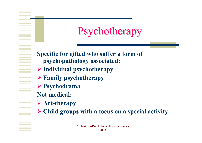# **Psychotherapy**

- **Specific for gifted who suffer a form of psychopathology associated:**
- ¾ **Individual psychotherapy**
- ¾ **Family psychotherapy**
- ¾ **Psychodrama**
- **Not medical:**
- ¾ **Art-therapy**
- ¾ **Child groups with a focus on a special activity**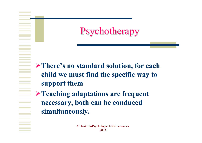**Psychotherapy** 

- ¾**There's no standard solution, for each child we must find the specific way to support them**
- ¾**Teaching adaptations are frequent necessary, both can be conduced simultaneously.**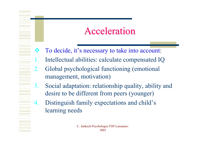## **Acceleration**

- $\frac{1}{2}$ To decide, it's necessary to take into account:
- Intellectual abilities: calculate compensated IQ
- 2. Global psychological functioning (emotional management, motivation)
- 3. Social adaptation: relationship quality, ability and desire to be different from peers (younger)
- 4. Distinguish family expectations and child's learning needs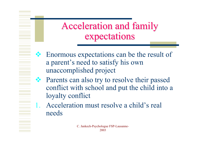# Acceleration and family Acceleration and family expectations

- ◆ Enormous expectations can be the result of a paren<sup>t</sup>'s need to satisfy his own unaccomplished project
- Parents can also try to resolve their passed conflict with school and put the child into a loyalty conflict
- Acceleration must resolve a child's real needs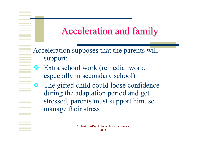## Acceleration and family Acceleration and family

Acceleration supposes that the parents will support:

 Extra school work (remedial work, especially in secondary school)

家

 The gifted child could loose confidence during the adaptation period and get stressed, parents must support him, so manage their stress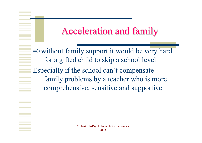## Acceleration and family Acceleration and family

=>without family support it would be very hard for a gifted child to skip a school level Especially if the school can't compensate family problems by a teacher who is more comprehensive, sensitive and supportive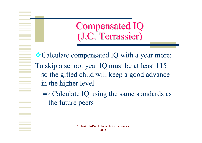**Compensated IQ** (J.C. Terrassier)

•• Calculate compensated IQ with a year more: To skip a school year IQ must be at least 115 so the gifted child will keep a good advance in the higher level

 $\Rightarrow$  Calculate IQ using the same standards as the future peers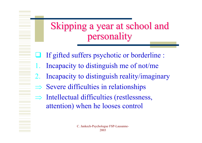# Skipping a year at school and personality personality

- ⊔ If gifted suffers psychotic or borderline :
- 1. Incapacity to distinguish me of not/me
- 2. Incapacity to distinguish reality/imaginary
- ⇒Severe difficulties in relationships
- $\Rightarrow$  Intellectual difficulties (restlessness, attention) when he looses control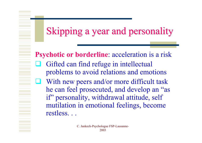# Skipping a year and personality

**Psychotic or borderline**: acceleration is a risk  $\Box$  Gifted can find refuge in intellectual problems to avoid relations and emotions With new peers and/or more difficult task he can feel prosecuted, and develop an "as if" personality, withdrawal attitude, self mutilation in emotional feelings, become restless. . .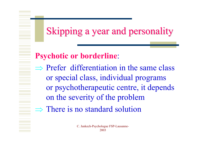Skipping a year and personality

**Psychotic or borderline**:

- $\Rightarrow$  Prefer differentiation in the same class or special class, individual programs or psychotherapeutic centre, it depends on the severity of the problem
- $\Rightarrow$  There is no standard solution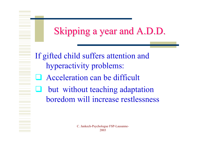# Skipping a year and A.D.D.

If gifted child suffers attention and hyperactivity problems:

- **Acceleration can be difficult**
- $\Box$  but without teaching adaptation boredom will increase restlessness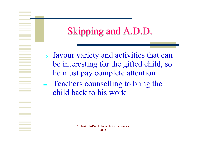## Skipping and A.D.D.

⇒ favour variety and activities that can be interesting for the gifted child, so he must pay complete attention  $\Rightarrow$  Teachers counselling to bring the child back to his work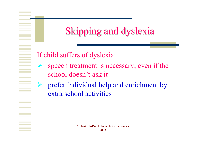# Skipping and dyslexia

#### If child suffers of dyslexia:

- ¾ speech treatment is necessary, even if the school doesn't ask it
- ¾ prefer individual help and enrichment by extra school activities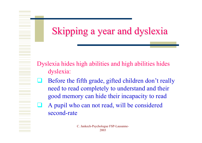Skipping a year and dyslexia

- Dyslexia hides high abilities and high abilities hides dyslexia:
- $\Box$  Before the fifth grade, gifted children don't really need to read completely to understand and their good memory can hide their incapacity to read
- $\Box$  A pupil who can not read, will be considered second-rate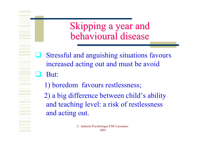Skipping a year and behavioural disease

- $\Box$  Stressful and anguishing situations favours increased acting out and must be avoid
- $\Box$  But:
	- 1) boredom favours restlessness;

2) a big difference between child's ability and teaching level: a risk of restlessness and acting out.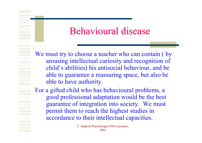### Behavioural disease

We must try to choose a teacher who can contain (by arousing intellectual curiosity and recognition of child's abilities) his antisocial behaviour, and be able to guarantee a reassuring space, but also be able to have authority.

For a gifted child who has behavioural problems, a good professional adaptation would be the best guarantee of integration into society. We must permit them to reach the highest studies in accordance to their intellectual capacities.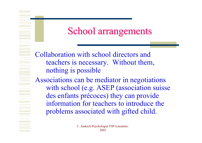## School arrangements

Collaboration with school directors and teachers is necessary. Without them, nothing is possible

Associations can be mediator in negotiations with school (e.g. ASEP (association suisse des enfants précoces) they can provide information for teachers to introduce the problems associated with gifted child.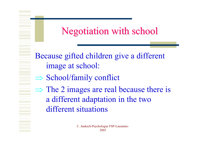## Negotiation with school

Because gifted children give a different image at school:

- ⇒ School/family conflict
- $\Rightarrow$  The 2 images are real because there is a different adaptation in the two different situations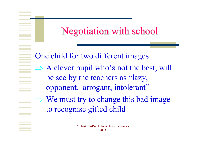## Negotiation with school Negotiation with school

One child for two different images:  $\Rightarrow$  A clever pupil who's not the best, will be see by the teachers as "lazy, opponent, arrogant, intolerant"  $\Rightarrow$  We must try to change this bad image to recognise gifted child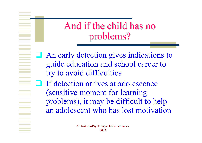And if the child has no problems?

- An early detection gives indications to guide education and school career to try to avoid difficulties
- $\Box$  If detection arrives at adolescence (sensitive moment for learning problems), it may be difficult to help an adolescent who has lost motivation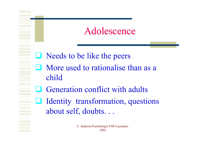### Adolescence

- Needs to be like the peers
- **Nore used to rationalise than as a** child
- **Q** Generation conflict with adults
- Identity transformation, questions about self, doubts. . .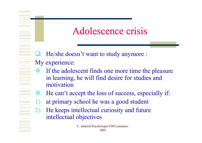## Adolescence crisis

 $\Box$  He/she doesn't want to study anymore : My experience:

- $\bullet$  If the adolescent finds one more time the pleasure in learning, he will find desire for studies and motivation
- 等 He can't accept the loss of success, especially if:
	- at primary school he was a good student
- 2) He keeps intellectual curiosity and future intellectual objectives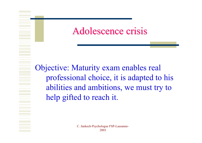## Adolescence crisis

Objective: Maturity exam enables real professional choice, it is adapted to his abilities and ambitions, we must try to help gifted to reach it.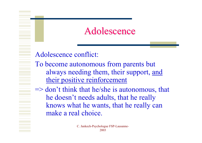### Adolescence

Adolescence conflict:

- To become autonomous from parents but always needing them, their support, and their positive reinforcement
- => don't think that he/she is autonomous, that he doesn't needs adults, that he really knows what he wants, that he really can make a real choice.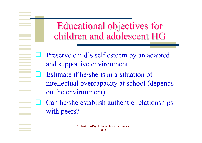## Educational objectives for children and adolescent HG

- **Q** Preserve child's self esteem by an adapted and supportive environment
- $\Box$  Estimate if he/she is in a situation of intellectual overcapacity at school (depends on the environment)
- $\Box$  Can he/she establish authentic relationships with peers?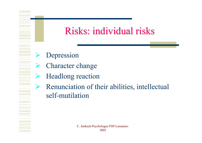## Risks: individual risks

- ¾Depression
- ¾ Character change
- ¾Headlong reaction
- ¾ Renunciation of their abilities, intellectual self-mutilation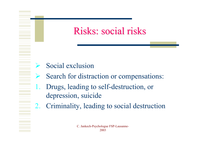## Risks: social risks

- ¾Social exclusion
- ¾Search for distraction or compensations:
- 1. Drugs, leading to self-destruction, or depression, suicide
- 2. Criminality, leading to social destruction